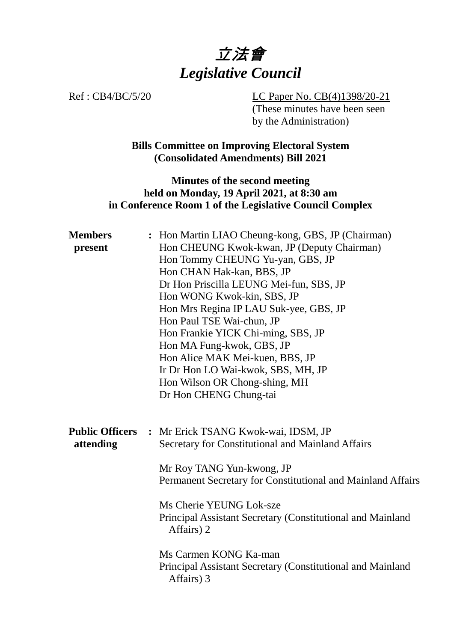

Ref : CB4/BC/5/20 LC Paper No. CB(4)1398/20-21 (These minutes have been seen by the Administration)

> **Bills Committee on Improving Electoral System (Consolidated Amendments) Bill 2021**

## **Minutes of the second meeting held on Monday, 19 April 2021, at 8:30 am in Conference Room 1 of the Legislative Council Complex**

| <b>Members</b><br>present           | : Hon Martin LIAO Cheung-kong, GBS, JP (Chairman)<br>Hon CHEUNG Kwok-kwan, JP (Deputy Chairman)<br>Hon Tommy CHEUNG Yu-yan, GBS, JP<br>Hon CHAN Hak-kan, BBS, JP<br>Dr Hon Priscilla LEUNG Mei-fun, SBS, JP<br>Hon WONG Kwok-kin, SBS, JP<br>Hon Mrs Regina IP LAU Suk-yee, GBS, JP<br>Hon Paul TSE Wai-chun, JP<br>Hon Frankie YICK Chi-ming, SBS, JP<br>Hon MA Fung-kwok, GBS, JP<br>Hon Alice MAK Mei-kuen, BBS, JP<br>Ir Dr Hon LO Wai-kwok, SBS, MH, JP<br>Hon Wilson OR Chong-shing, MH<br>Dr Hon CHENG Chung-tai |
|-------------------------------------|-------------------------------------------------------------------------------------------------------------------------------------------------------------------------------------------------------------------------------------------------------------------------------------------------------------------------------------------------------------------------------------------------------------------------------------------------------------------------------------------------------------------------|
| <b>Public Officers</b><br>attending | : Mr Erick TSANG Kwok-wai, IDSM, JP<br>Secretary for Constitutional and Mainland Affairs<br>Mr Roy TANG Yun-kwong, JP<br>Permanent Secretary for Constitutional and Mainland Affairs<br>Ms Cherie YEUNG Lok-sze<br>Principal Assistant Secretary (Constitutional and Mainland<br>Affairs) 2                                                                                                                                                                                                                             |
|                                     | Ms Carmen KONG Ka-man<br>Principal Assistant Secretary (Constitutional and Mainland<br>Affairs) 3                                                                                                                                                                                                                                                                                                                                                                                                                       |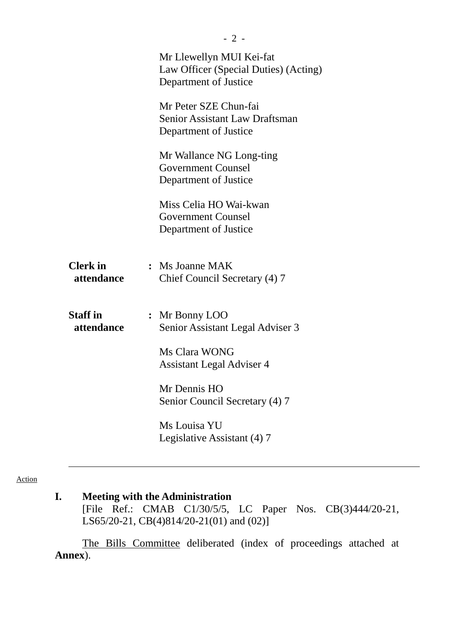|                               | Mr Llewellyn MUI Kei-fat<br>Law Officer (Special Duties) (Acting)<br>Department of Justice<br>Mr Peter SZE Chun-fai<br><b>Senior Assistant Law Draftsman</b><br>Department of Justice<br>Mr Wallance NG Long-ting |  |
|-------------------------------|-------------------------------------------------------------------------------------------------------------------------------------------------------------------------------------------------------------------|--|
|                               | <b>Government Counsel</b><br>Department of Justice                                                                                                                                                                |  |
|                               | Miss Celia HO Wai-kwan<br><b>Government Counsel</b><br>Department of Justice                                                                                                                                      |  |
| <b>Clerk</b> in<br>attendance | $:$ Ms Joanne MAK<br>Chief Council Secretary (4) 7                                                                                                                                                                |  |
| <b>Staff</b> in<br>attendance | : Mr Bonny LOO<br>Senior Assistant Legal Adviser 3                                                                                                                                                                |  |
|                               | Ms Clara WONG<br>Assistant Legal Adviser 4                                                                                                                                                                        |  |
|                               | Mr Dennis HO<br>Senior Council Secretary (4) 7                                                                                                                                                                    |  |
|                               | Ms Louisa YU<br>Legislative Assistant (4) 7                                                                                                                                                                       |  |
|                               |                                                                                                                                                                                                                   |  |

#### Action

# **I. Meeting with the Administration**

[File Ref.: CMAB C1/30/5/5, LC Paper Nos. CB(3)444/20-21, LS65/20-21, CB(4)814/20-21(01) and (02)]

The Bills Committee deliberated (index of proceedings attached at **Annex**).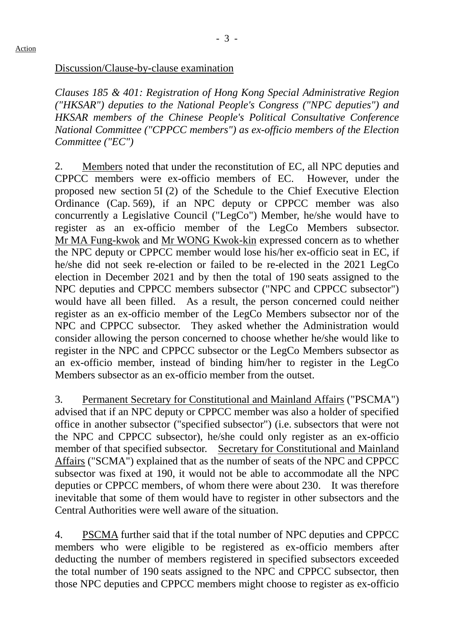Discussion/Clause-by-clause examination

*Clauses 185 & 401: Registration of Hong Kong Special Administrative Region ("HKSAR") deputies to the National People's Congress ("NPC deputies") and HKSAR members of the Chinese People's Political Consultative Conference National Committee ("CPPCC members") as ex-officio members of the Election Committee ("EC")*

2. Members noted that under the reconstitution of EC, all NPC deputies and CPPCC members were ex-officio members of EC. However, under the proposed new section 5I (2) of the Schedule to the Chief Executive Election Ordinance (Cap. 569), if an NPC deputy or CPPCC member was also concurrently a Legislative Council ("LegCo") Member, he/she would have to register as an ex-officio member of the LegCo Members subsector. Mr MA Fung-kwok and Mr WONG Kwok-kin expressed concern as to whether the NPC deputy or CPPCC member would lose his/her ex-officio seat in EC, if he/she did not seek re-election or failed to be re-elected in the 2021 LegCo election in December 2021 and by then the total of 190 seats assigned to the NPC deputies and CPPCC members subsector ("NPC and CPPCC subsector") would have all been filled. As a result, the person concerned could neither register as an ex-officio member of the LegCo Members subsector nor of the NPC and CPPCC subsector. They asked whether the Administration would consider allowing the person concerned to choose whether he/she would like to register in the NPC and CPPCC subsector or the LegCo Members subsector as an ex-officio member, instead of binding him/her to register in the LegCo Members subsector as an ex-officio member from the outset.

3. Permanent Secretary for Constitutional and Mainland Affairs ("PSCMA") advised that if an NPC deputy or CPPCC member was also a holder of specified office in another subsector ("specified subsector") (i.e. subsectors that were not the NPC and CPPCC subsector), he/she could only register as an ex-officio member of that specified subsector. Secretary for Constitutional and Mainland Affairs ("SCMA") explained that as the number of seats of the NPC and CPPCC subsector was fixed at 190, it would not be able to accommodate all the NPC deputies or CPPCC members, of whom there were about 230. It was therefore inevitable that some of them would have to register in other subsectors and the Central Authorities were well aware of the situation.

4. PSCMA further said that if the total number of NPC deputies and CPPCC members who were eligible to be registered as ex-officio members after deducting the number of members registered in specified subsectors exceeded the total number of 190 seats assigned to the NPC and CPPCC subsector, then those NPC deputies and CPPCC members might choose to register as ex-officio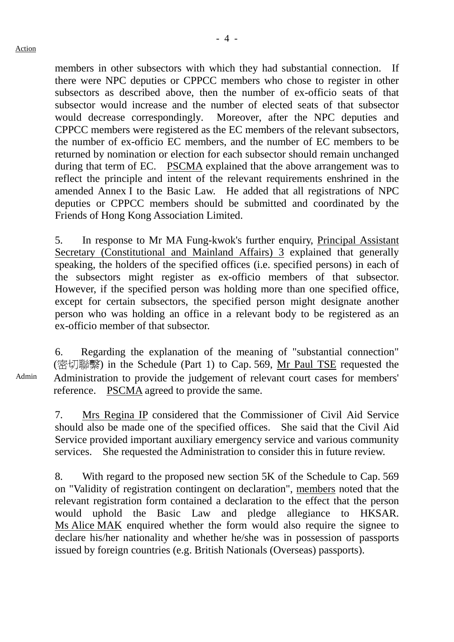members in other subsectors with which they had substantial connection. If there were NPC deputies or CPPCC members who chose to register in other subsectors as described above, then the number of ex-officio seats of that subsector would increase and the number of elected seats of that subsector would decrease correspondingly. Moreover, after the NPC deputies and CPPCC members were registered as the EC members of the relevant subsectors, the number of ex-officio EC members, and the number of EC members to be returned by nomination or election for each subsector should remain unchanged during that term of EC. PSCMA explained that the above arrangement was to reflect the principle and intent of the relevant requirements enshrined in the amended Annex I to the Basic Law. He added that all registrations of NPC deputies or CPPCC members should be submitted and coordinated by the Friends of Hong Kong Association Limited.

5. In response to Mr MA Fung-kwok's further enquiry, Principal Assistant Secretary (Constitutional and Mainland Affairs) 3 explained that generally speaking, the holders of the specified offices (i.e. specified persons) in each of the subsectors might register as ex-officio members of that subsector. However, if the specified person was holding more than one specified office, except for certain subsectors, the specified person might designate another person who was holding an office in a relevant body to be registered as an ex-officio member of that subsector.

6. Regarding the explanation of the meaning of "substantial connection" (密切聯繫) in the Schedule (Part 1) to Cap. 569, Mr Paul TSE requested the Administration to provide the judgement of relevant court cases for members' reference. PSCMA agreed to provide the same.

7. Mrs Regina IP considered that the Commissioner of Civil Aid Service should also be made one of the specified offices. She said that the Civil Aid Service provided important auxiliary emergency service and various community services. She requested the Administration to consider this in future review.

8. With regard to the proposed new section 5K of the Schedule to Cap. 569 on "Validity of registration contingent on declaration", members noted that the relevant registration form contained a declaration to the effect that the person would uphold the Basic Law and pledge allegiance to HKSAR. Ms Alice MAK enquired whether the form would also require the signee to declare his/her nationality and whether he/she was in possession of passports issued by foreign countries (e.g. British Nationals (Overseas) passports).

Admin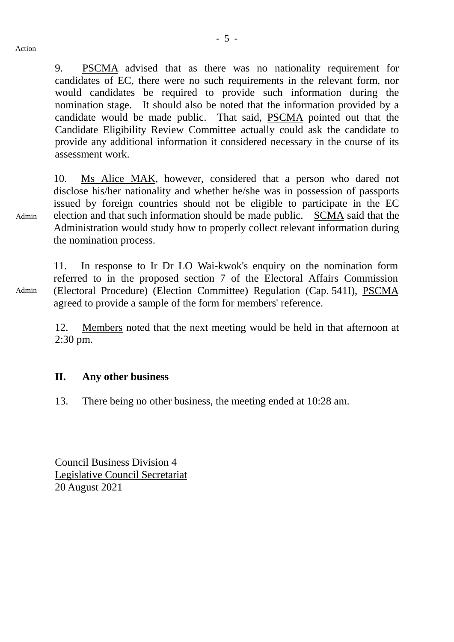9. PSCMA advised that as there was no nationality requirement for candidates of EC, there were no such requirements in the relevant form, nor would candidates be required to provide such information during the nomination stage. It should also be noted that the information provided by a candidate would be made public. That said, PSCMA pointed out that the Candidate Eligibility Review Committee actually could ask the candidate to provide any additional information it considered necessary in the course of its assessment work.

10. Ms Alice MAK, however, considered that a person who dared not disclose his/her nationality and whether he/she was in possession of passports issued by foreign countries should not be eligible to participate in the EC election and that such information should be made public. SCMA said that the Administration would study how to properly collect relevant information during the nomination process.

11. In response to Ir Dr LO Wai-kwok's enquiry on the nomination form referred to in the proposed section 7 of the Electoral Affairs Commission (Electoral Procedure) (Election Committee) Regulation (Cap. 541I), PSCMA agreed to provide a sample of the form for members' reference.

12. Members noted that the next meeting would be held in that afternoon at 2:30 pm.

### **II. Any other business**

13. There being no other business, the meeting ended at 10:28 am.

Council Business Division 4 Legislative Council Secretariat 20 August 2021

Admin

Admin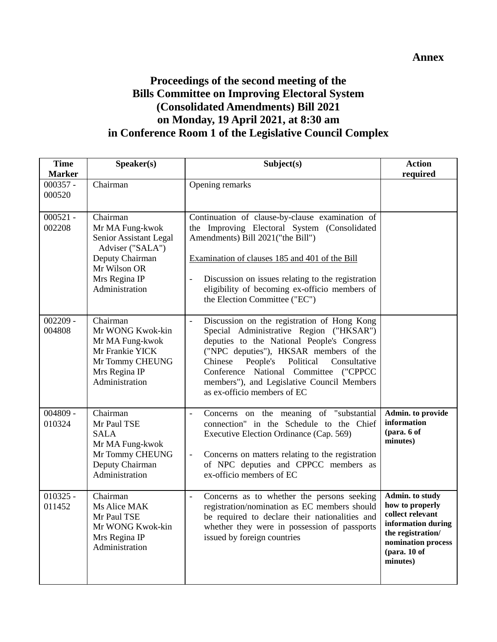### **Annex**

# **Proceedings of the second meeting of the Bills Committee on Improving Electoral System (Consolidated Amendments) Bill 2021 on Monday, 19 April 2021, at 8:30 am in Conference Room 1 of the Legislative Council Complex**

| <b>Time</b><br><b>Marker</b> | Speaker(s)                                                                                                                                      | Subject(s)                                                                                                                                                                                                                                                                                                                                               | <b>Action</b><br>required                                                                                                                                |
|------------------------------|-------------------------------------------------------------------------------------------------------------------------------------------------|----------------------------------------------------------------------------------------------------------------------------------------------------------------------------------------------------------------------------------------------------------------------------------------------------------------------------------------------------------|----------------------------------------------------------------------------------------------------------------------------------------------------------|
| $000357 -$<br>000520         | Chairman                                                                                                                                        | Opening remarks                                                                                                                                                                                                                                                                                                                                          |                                                                                                                                                          |
| $000521 -$<br>002208         | Chairman<br>Mr MA Fung-kwok<br>Senior Assistant Legal<br>Adviser ("SALA")<br>Deputy Chairman<br>Mr Wilson OR<br>Mrs Regina IP<br>Administration | Continuation of clause-by-clause examination of<br>the Improving Electoral System (Consolidated<br>Amendments) Bill 2021("the Bill")<br>Examination of clauses 185 and 401 of the Bill<br>Discussion on issues relating to the registration<br>eligibility of becoming ex-officio members of<br>the Election Committee ("EC")                            |                                                                                                                                                          |
| $002209 -$<br>004808         | Chairman<br>Mr WONG Kwok-kin<br>Mr MA Fung-kwok<br>Mr Frankie YICK<br>Mr Tommy CHEUNG<br>Mrs Regina IP<br>Administration                        | Discussion on the registration of Hong Kong<br>Special Administrative Region ("HKSAR")<br>deputies to the National People's Congress<br>("NPC deputies"), HKSAR members of the<br>Political<br>People's<br>Consultative<br>Chinese<br>Conference National Committee ("CPPCC<br>members"), and Legislative Council Members<br>as ex-officio members of EC |                                                                                                                                                          |
| $004809 -$<br>010324         | Chairman<br>Mr Paul TSE<br><b>SALA</b><br>Mr MA Fung-kwok<br>Mr Tommy CHEUNG<br>Deputy Chairman<br>Administration                               | Concerns on the meaning of "substantial<br>connection" in the Schedule to the Chief<br>Executive Election Ordinance (Cap. 569)<br>Concerns on matters relating to the registration<br>$\overline{\phantom{a}}$<br>of NPC deputies and CPPCC members as<br>ex-officio members of EC                                                                       | Admin. to provide<br>information<br>(para. 6 of<br>minutes)                                                                                              |
| $010325 -$<br>011452         | Chairman<br>Ms Alice MAK<br>Mr Paul TSE<br>Mr WONG Kwok-kin<br>Mrs Regina IP<br>Administration                                                  | Concerns as to whether the persons seeking<br>$\blacksquare$<br>registration/nomination as EC members should<br>be required to declare their nationalities and<br>whether they were in possession of passports<br>issued by foreign countries                                                                                                            | Admin. to study<br>how to properly<br>collect relevant<br>information during<br>the registration/<br>nomination process<br>$10$ (para. 10 of<br>minutes) |